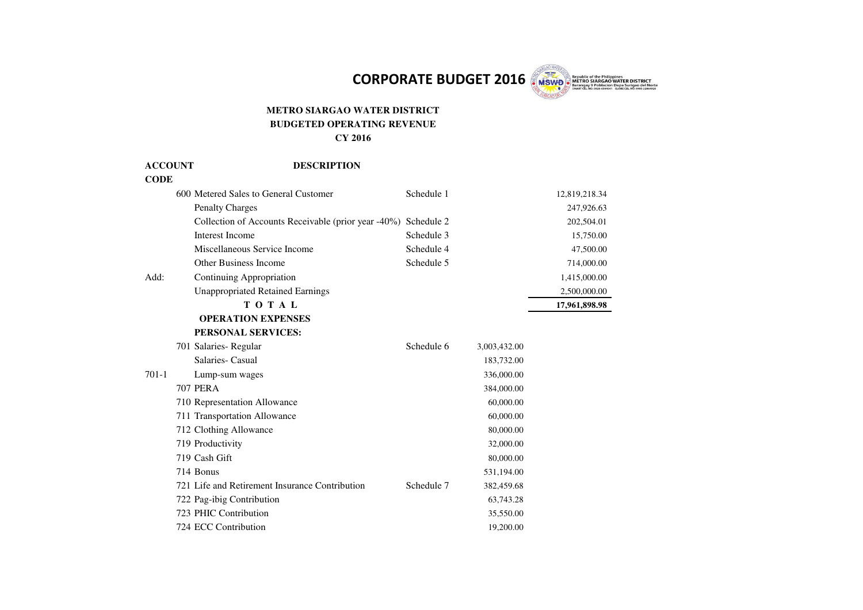CORPORATE BUDGET 2016 **WSWP** 

## **METRO SIARGAO WATER DISTRICT BUDGETED OPERATING REVENUE CY 2016**

| <b>ACCOUNT</b> | <b>DESCRIPTION</b>                                  |            |              |               |
|----------------|-----------------------------------------------------|------------|--------------|---------------|
| <b>CODE</b>    |                                                     |            |              |               |
|                | 600 Metered Sales to General Customer               | Schedule 1 |              | 12,819,218.34 |
|                | <b>Penalty Charges</b>                              |            |              | 247,926.63    |
|                | Collection of Accounts Receivable (prior year -40%) | Schedule 2 |              | 202,504.01    |
|                | <b>Interest Income</b>                              | Schedule 3 |              | 15,750.00     |
|                | Miscellaneous Service Income                        | Schedule 4 |              | 47,500.00     |
|                | <b>Other Business Income</b>                        | Schedule 5 |              | 714,000.00    |
| Add:           | Continuing Appropriation                            |            |              | 1,415,000.00  |
|                | <b>Unappropriated Retained Earnings</b>             |            |              | 2,500,000.00  |
|                | TOTAL                                               |            |              | 17,961,898.98 |
|                | <b>OPERATION EXPENSES</b>                           |            |              |               |
|                | PERSONAL SERVICES:                                  |            |              |               |
|                | 701 Salaries-Regular                                | Schedule 6 | 3,003,432.00 |               |
|                | Salaries- Casual                                    |            | 183,732.00   |               |
| $701-1$        | Lump-sum wages                                      |            | 336,000.00   |               |
|                | <b>707 PERA</b>                                     |            | 384,000.00   |               |
|                | 710 Representation Allowance                        |            | 60,000.00    |               |
|                | 711 Transportation Allowance                        |            | 60,000.00    |               |
|                | 712 Clothing Allowance                              |            | 80,000.00    |               |
|                | 719 Productivity                                    |            | 32,000.00    |               |
|                | 719 Cash Gift                                       |            | 80,000.00    |               |
|                | 714 Bonus                                           |            | 531,194.00   |               |
|                | 721 Life and Retirement Insurance Contribution      | Schedule 7 | 382,459.68   |               |
|                | 722 Pag-ibig Contribution                           |            | 63,743.28    |               |
|                | 723 PHIC Contribution                               |            | 35,550.00    |               |
|                | 724 ECC Contribution                                |            | 19,200.00    |               |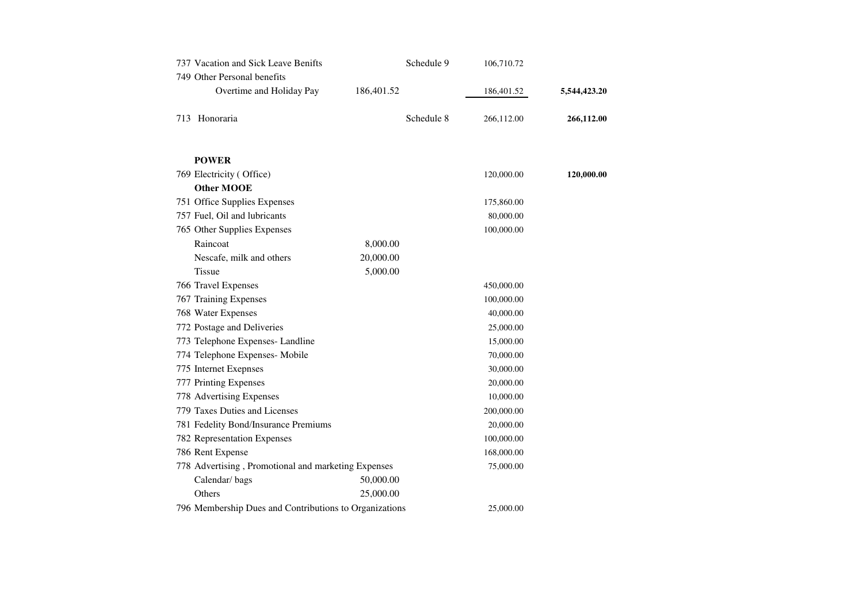| 737 Vacation and Sick Leave Benifts<br>749 Other Personal benefits |            | Schedule 9 | 106,710.72 |              |
|--------------------------------------------------------------------|------------|------------|------------|--------------|
| Overtime and Holiday Pay                                           | 186,401.52 |            | 186,401.52 | 5,544,423.20 |
| 713 Honoraria                                                      |            | Schedule 8 | 266,112.00 | 266,112.00   |
| <b>POWER</b>                                                       |            |            |            |              |
| 769 Electricity (Office)                                           |            |            | 120,000.00 | 120,000.00   |
| <b>Other MOOE</b>                                                  |            |            |            |              |
| 751 Office Supplies Expenses                                       |            |            | 175,860.00 |              |
| 757 Fuel, Oil and lubricants                                       |            |            | 80,000.00  |              |
| 765 Other Supplies Expenses                                        |            |            | 100,000.00 |              |
| Raincoat                                                           | 8,000.00   |            |            |              |
| Nescafe, milk and others                                           | 20,000.00  |            |            |              |
| <b>Tissue</b>                                                      | 5,000.00   |            |            |              |
| 766 Travel Expenses                                                |            |            | 450,000.00 |              |
| 767 Training Expenses                                              |            |            | 100,000.00 |              |
| 768 Water Expenses                                                 |            |            | 40,000.00  |              |
| 772 Postage and Deliveries                                         |            |            | 25,000.00  |              |
| 773 Telephone Expenses-Landline                                    |            |            | 15,000.00  |              |
| 774 Telephone Expenses- Mobile                                     |            |            | 70,000.00  |              |
| 775 Internet Exepnses                                              |            |            | 30,000.00  |              |
| 777 Printing Expenses                                              |            |            | 20,000.00  |              |
| 778 Advertising Expenses                                           |            |            | 10,000.00  |              |
| 779 Taxes Duties and Licenses                                      |            |            | 200,000.00 |              |
| 781 Fedelity Bond/Insurance Premiums                               |            |            | 20,000.00  |              |
| 782 Representation Expenses                                        |            |            | 100,000.00 |              |
| 786 Rent Expense                                                   |            |            | 168,000.00 |              |
| 778 Advertising, Promotional and marketing Expenses                |            |            | 75,000.00  |              |
| Calendar/bags                                                      | 50,000.00  |            |            |              |
| Others                                                             | 25,000.00  |            |            |              |
| 796 Membership Dues and Contributions to Organizations             |            |            | 25,000.00  |              |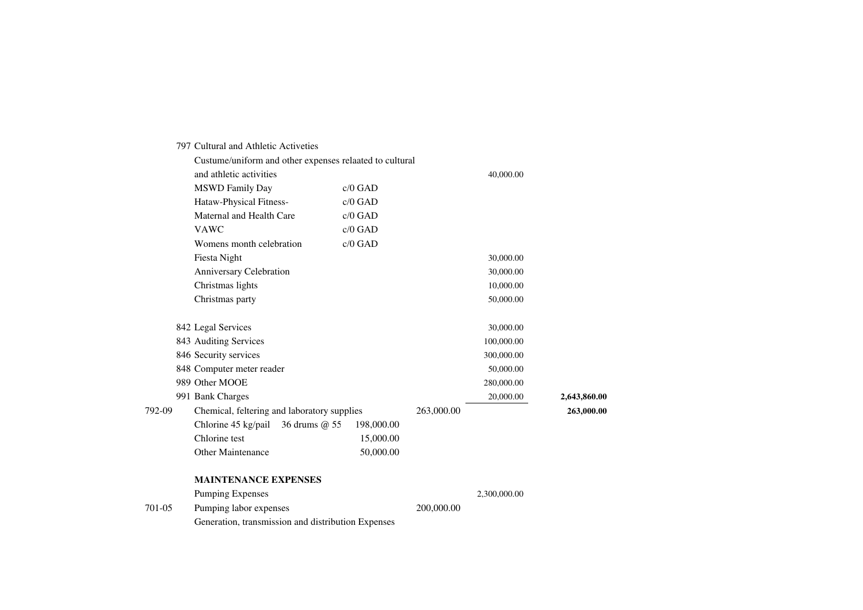|        | 797 Cultural and Athletic Activeties                    |            |            |              |              |  |  |
|--------|---------------------------------------------------------|------------|------------|--------------|--------------|--|--|
|        | Custume/uniform and other expenses relaated to cultural |            |            |              |              |  |  |
|        | and athletic activities                                 |            |            | 40,000.00    |              |  |  |
|        | <b>MSWD Family Day</b>                                  | c/0 GAD    |            |              |              |  |  |
|        | Hataw-Physical Fitness-                                 | c/0 GAD    |            |              |              |  |  |
|        | Maternal and Health Care                                | c/0 GAD    |            |              |              |  |  |
|        | <b>VAWC</b>                                             | c/0 GAD    |            |              |              |  |  |
|        | Womens month celebration                                | $c/0$ GAD  |            |              |              |  |  |
|        | <b>Fiesta Night</b>                                     |            |            | 30,000.00    |              |  |  |
|        | Anniversary Celebration                                 |            |            | 30,000.00    |              |  |  |
|        | Christmas lights                                        |            |            | 10,000.00    |              |  |  |
|        | Christmas party                                         |            |            | 50,000.00    |              |  |  |
|        | 842 Legal Services                                      |            |            | 30,000.00    |              |  |  |
|        | 843 Auditing Services                                   |            |            | 100,000.00   |              |  |  |
|        | 846 Security services                                   |            |            | 300,000.00   |              |  |  |
|        | 848 Computer meter reader                               |            |            | 50,000.00    |              |  |  |
|        | 989 Other MOOE                                          |            |            | 280,000.00   |              |  |  |
|        | 991 Bank Charges                                        |            |            | 20,000.00    | 2,643,860.00 |  |  |
| 792-09 | Chemical, feltering and laboratory supplies             |            | 263,000.00 |              | 263,000.00   |  |  |
|        | Chlorine 45 kg/pail<br>36 drums @ 55                    | 198,000.00 |            |              |              |  |  |
|        | Chlorine test                                           | 15,000.00  |            |              |              |  |  |
|        | Other Maintenance                                       | 50,000.00  |            |              |              |  |  |
|        | <b>MAINTENANCE EXPENSES</b>                             |            |            |              |              |  |  |
|        | <b>Pumping Expenses</b>                                 |            |            | 2,300,000.00 |              |  |  |
| 701-05 | Pumping labor expenses                                  |            | 200,000.00 |              |              |  |  |
|        | Generation, transmission and distribution Expenses      |            |            |              |              |  |  |
|        |                                                         |            |            |              |              |  |  |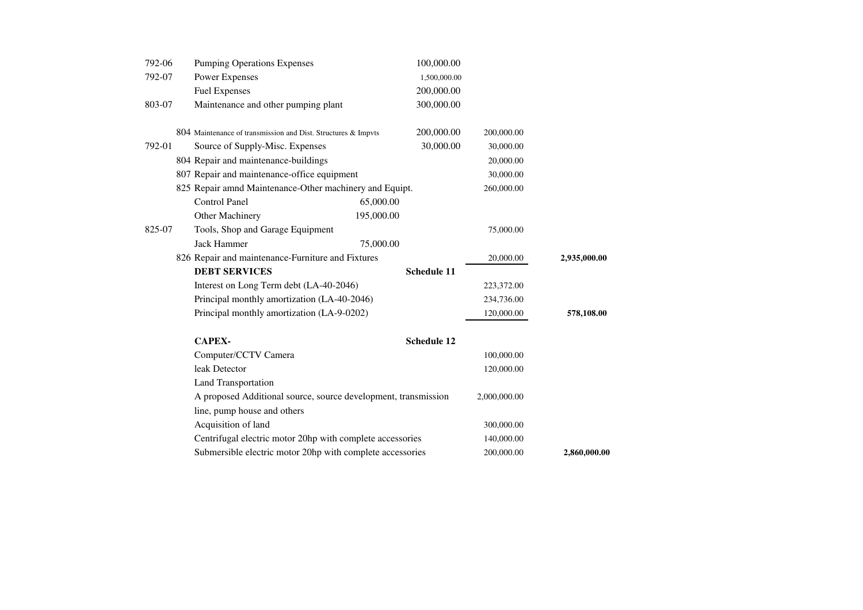| 792-06 | <b>Pumping Operations Expenses</b>                             | 100,000.00         |              |              |
|--------|----------------------------------------------------------------|--------------------|--------------|--------------|
| 792-07 | <b>Power Expenses</b>                                          | 1,500,000.00       |              |              |
|        | <b>Fuel Expenses</b>                                           | 200,000.00         |              |              |
| 803-07 | Maintenance and other pumping plant                            | 300,000.00         |              |              |
|        | 804 Maintenance of transmission and Dist. Structures & Impvts  | 200,000.00         | 200,000.00   |              |
| 792-01 | Source of Supply-Misc. Expenses                                | 30,000.00          | 30,000.00    |              |
|        | 804 Repair and maintenance-buildings                           |                    | 20,000.00    |              |
|        | 807 Repair and maintenance-office equipment                    |                    | 30,000.00    |              |
|        | 825 Repair amnd Maintenance-Other machinery and Equipt.        |                    | 260,000.00   |              |
|        | <b>Control Panel</b>                                           | 65,000.00          |              |              |
|        | Other Machinery                                                | 195,000.00         |              |              |
| 825-07 | Tools, Shop and Garage Equipment                               |                    | 75,000.00    |              |
|        | <b>Jack Hammer</b>                                             | 75,000.00          |              |              |
|        | 826 Repair and maintenance-Furniture and Fixtures              |                    | 20,000.00    | 2,935,000.00 |
|        | <b>DEBT SERVICES</b>                                           | Schedule 11        |              |              |
|        | Interest on Long Term debt (LA-40-2046)                        |                    | 223,372.00   |              |
|        | Principal monthly amortization (LA-40-2046)                    |                    | 234,736.00   |              |
|        | Principal monthly amortization (LA-9-0202)                     |                    | 120,000.00   | 578,108.00   |
|        | <b>CAPEX-</b>                                                  | <b>Schedule 12</b> |              |              |
|        | Computer/CCTV Camera                                           |                    | 100,000.00   |              |
|        | leak Detector                                                  |                    | 120,000.00   |              |
|        | <b>Land Transportation</b>                                     |                    |              |              |
|        | A proposed Additional source, source development, transmission |                    | 2,000,000.00 |              |
|        | line, pump house and others                                    |                    |              |              |
|        | Acquisition of land                                            |                    | 300,000.00   |              |
|        | Centrifugal electric motor 20hp with complete accessories      |                    | 140,000.00   |              |
|        | Submersible electric motor 20hp with complete accessories      |                    | 200,000.00   | 2,860,000.00 |
|        |                                                                |                    |              |              |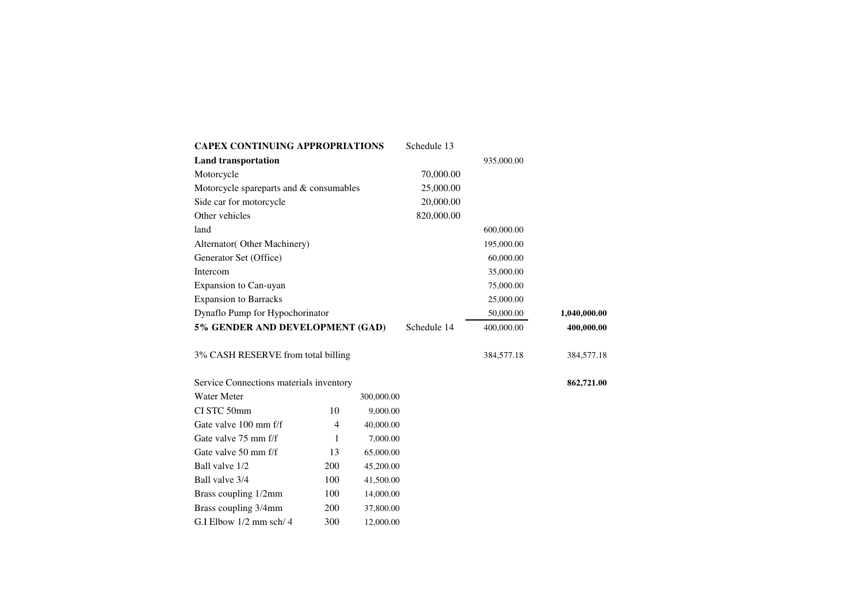| <b>CAPEX CONTINUING APPROPRIATIONS</b>  |     |            | Schedule 13 |            |              |
|-----------------------------------------|-----|------------|-------------|------------|--------------|
| <b>Land transportation</b>              |     |            |             | 935,000.00 |              |
| Motorcycle                              |     |            | 70,000.00   |            |              |
| Motorcycle spareparts and & consumables |     |            | 25,000.00   |            |              |
| Side car for motorcycle                 |     |            | 20,000.00   |            |              |
| Other vehicles                          |     |            | 820,000.00  |            |              |
| land                                    |     |            |             | 600,000.00 |              |
| Alternator(Other Machinery)             |     |            |             | 195,000.00 |              |
| Generator Set (Office)                  |     |            |             | 60,000.00  |              |
| Intercom                                |     |            |             | 35,000.00  |              |
| Expansion to Can-uyan                   |     |            |             | 75,000.00  |              |
| <b>Expansion to Barracks</b>            |     |            |             | 25,000.00  |              |
| Dynaflo Pump for Hypochorinator         |     |            |             | 50,000.00  | 1,040,000.00 |
| 5% GENDER AND DEVELOPMENT (GAD)         |     |            | Schedule 14 | 400,000.00 | 400,000.00   |
| 3% CASH RESERVE from total billing      |     |            |             | 384,577.18 | 384,577.18   |
| Service Connections materials inventory |     |            |             |            | 862,721.00   |
| <b>Water Meter</b>                      |     | 300,000.00 |             |            |              |
| CI STC 50mm                             | 10  | 9,000.00   |             |            |              |
| Gate valve 100 mm f/f                   | 4   | 40,000.00  |             |            |              |
| Gate valve 75 mm f/f                    | 1   | 7,000.00   |             |            |              |
| Gate valve 50 mm f/f                    | 13  | 65,000.00  |             |            |              |
| Ball valve 1/2                          | 200 | 45,200.00  |             |            |              |
| Ball valve 3/4                          | 100 | 41,500.00  |             |            |              |
| Brass coupling 1/2mm                    | 100 | 14,000.00  |             |            |              |
| Brass coupling 3/4mm                    | 200 | 37,800.00  |             |            |              |

G.I Elbow 1/2 mm sch/ 4 300 12,000.00